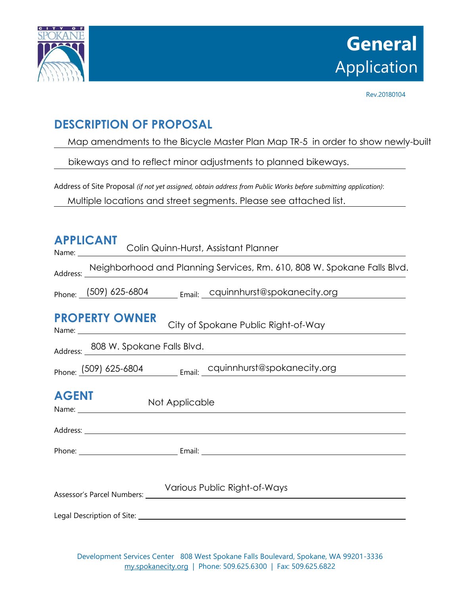

# **General** Application

Rev.20180104

## **DESCRIPTION OF PROPOSAL**

Map amendments to the Bicycle Master Plan Map TR-5 in order to show newly-built

bikeways and to reflect minor adjustments to planned bikeways.

Address of Site Proposal *(if not yet assigned, obtain address from Public Works before submitting application)*:

Multiple locations and street segments. Please see attached list.

| <b>APPLICANT</b><br>Colin Quinn-Hurst, Assistant Planner<br>Name:                                                                                                                                                                                               |  |  |  |  |
|-----------------------------------------------------------------------------------------------------------------------------------------------------------------------------------------------------------------------------------------------------------------|--|--|--|--|
| Address: Neighborhood and Planning Services, Rm. 610, 808 W. Spokane Falls Blvd.                                                                                                                                                                                |  |  |  |  |
| $_{\text{Phone:}}$ (509) 625-6804 $_{\text{Email:}}$ cquinnhurst@spokanecity.org                                                                                                                                                                                |  |  |  |  |
| <b>PROPERTY OWNER</b><br>City of Spokane Public Right-of-Way                                                                                                                                                                                                    |  |  |  |  |
| Address: 808 W. Spokane Falls Blvd.                                                                                                                                                                                                                             |  |  |  |  |
| Phone: (509) 625-6804 Email: cquinnhurst@spokanecity.org                                                                                                                                                                                                        |  |  |  |  |
| <b>AGENT</b><br>Not Applicable<br>Name: and the state of the state of the state of the state of the state of the state of the state of the state of the state of the state of the state of the state of the state of the state of the state of the state of the |  |  |  |  |
|                                                                                                                                                                                                                                                                 |  |  |  |  |
|                                                                                                                                                                                                                                                                 |  |  |  |  |
| Various Public Right-of-Ways                                                                                                                                                                                                                                    |  |  |  |  |
|                                                                                                                                                                                                                                                                 |  |  |  |  |

Development Services Center 808 West Spokane Falls Boulevard, Spokane, WA 99201-3336 [my.spokanecity.org](http://www.spokanecity.org/) | Phone: 509.625.6300 | Fax: 509.625.6822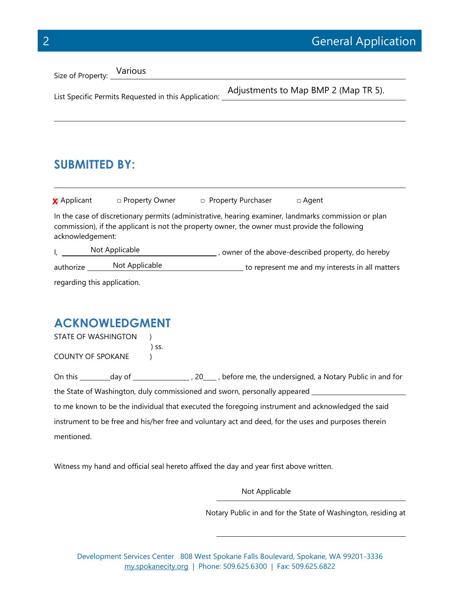| Size of Property: Various                            |  |                                      |  |
|------------------------------------------------------|--|--------------------------------------|--|
| List Specific Permits Requested in this Application: |  | Adjustments to Map BMP 2 (Map TR 5). |  |
|                                                      |  |                                      |  |

# **SUBMITTED BY:**

| <b>x</b> Applicant                                                                                                                                                                                                        | □ Property Owner            | □ Property Purchaser | □ Agent                                            |  |
|---------------------------------------------------------------------------------------------------------------------------------------------------------------------------------------------------------------------------|-----------------------------|----------------------|----------------------------------------------------|--|
| In the case of discretionary permits (administrative, hearing examiner, landmarks commission or plan<br>commission), if the applicant is not the property owner, the owner must provide the following<br>acknowledgement: |                             |                      |                                                    |  |
|                                                                                                                                                                                                                           | Not Applicable              |                      | , owner of the above-described property, do hereby |  |
| authorize                                                                                                                                                                                                                 | Not Applicable              |                      | to represent me and my interests in all matters    |  |
|                                                                                                                                                                                                                           | regarding this application. |                      |                                                    |  |

### **ACKNOWLEDGMENT**

| STATE OF WASHINGTON |       |
|---------------------|-------|
|                     | ) SS. |
| COUNTY OF SPOKANE   |       |

| On this | day of                                                                                               |  | 20, before me, the undersigned, a Notary Public in and for                                        |  |
|---------|------------------------------------------------------------------------------------------------------|--|---------------------------------------------------------------------------------------------------|--|
|         | the State of Washington, duly commissioned and sworn, personally appeared                            |  |                                                                                                   |  |
|         |                                                                                                      |  | to me known to be the individual that executed the foregoing instrument and acknowledged the said |  |
|         | instrument to be free and his/her free and voluntary act and deed, for the uses and purposes therein |  |                                                                                                   |  |

mentioned.

Witness my hand and official seal hereto affixed the day and year first above written.

Not Applicable

Notary Public in and for the State of Washington, residing at